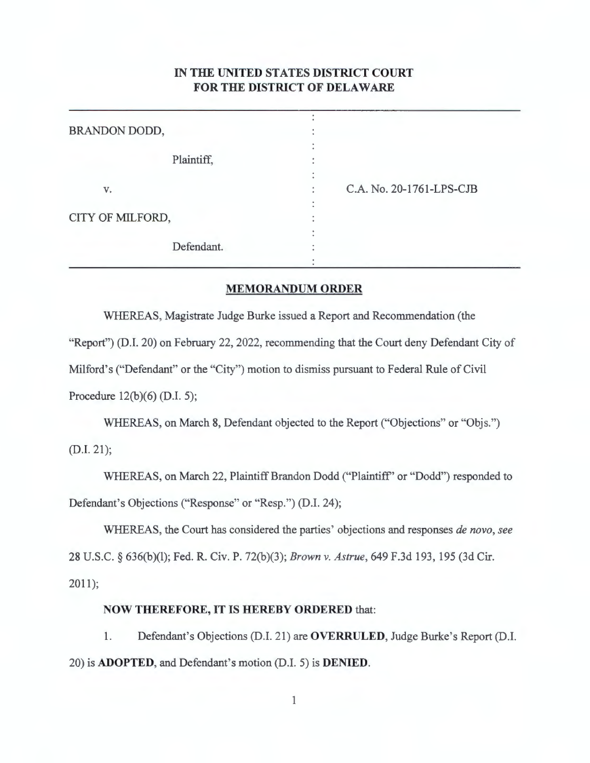## **IN THE UNITED STATES DISTRICT COURT FOR THE DISTRICT OF DELAWARE**

| BRANDON DODD,    |                          |
|------------------|--------------------------|
| Plaintiff,       |                          |
| V.               | C.A. No. 20-1761-LPS-CJB |
| CITY OF MILFORD, |                          |
| Defendant.       |                          |

## **MEMORANDUM ORDER**

WHEREAS, Magistrate Judge Burke issued a Report and Recommendation (the "Report") (D.I. 20) on February 22, 2022, recommending that the Court deny Defendant City of Milford's ("Defendant" or the "City") motion to dismiss pursuant to Federal Rule of Civil Procedure 12(b)(6) (D.I. 5);

WHEREAS, on March 8, Defendant objected to the Report ("Objections" or "Objs.") (D.I. 21);

WHEREAS, on March 22, Plaintiff Brandon Dodd ("Plaintiff' or "Dodd") responded to Defendant's Objections ("Response" or "Resp.") (D.I. 24);

WHEREAS, the Court has considered the parties' objections and responses *de novo, see*  28 U.S.C. § 636(b)(l); Fed. R. Civ. P. 72(b)(3); *Brown v. Astrue,* 649 F.3d 193, 195 (3d Cir. 2011);

## **NOW THEREFORE, IT IS HEREBY ORDERED** that:

1. Defendant's Objections (D.I. 21) are **OVERRULED,** Judge Burke's Report (D.I. 20) is **ADOPTED,** and Defendant's motion (D.I. 5) is **DENIED.**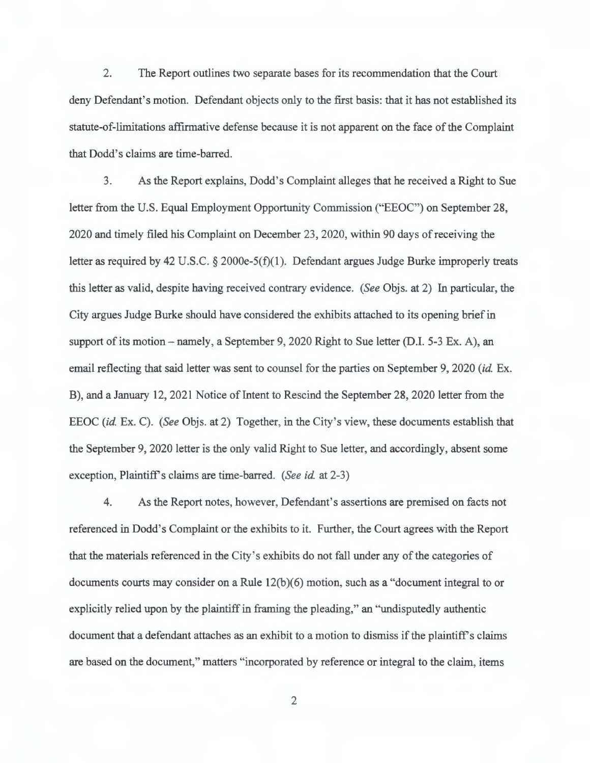2. The Report outlines two separate bases for its recommendation that the Court deny Defendant's motion. Defendant objects only to the first basis: that it has not established its statute-of-limitations affirmative defense because it is not apparent on the face of the Complaint that Dodd's claims are time-barred.

3. As the Report explains, Dodd's Complaint alleges that he received a Right to Sue letter from the U.S. Equal Employment Opportunity Commission ("EEOC") on September 28, 2020 and timely filed his Complaint on December 23, 2020, within 90 days ofreceiving the letter as required by 42 U.S.C. § 2000e-5(f)(1). Defendant argues Judge Burke improperly treats this letter as valid, despite having received contrary evidence. *(See* Objs. at 2) In particular, the City argues Judge Burke should have considered the exhibits attached to its opening brief in support of its motion – namely, a September 9, 2020 Right to Sue letter (D.I. 5-3 Ex. A), an email reflecting that said letter was sent to counsel for the parties on September 9, 2020 *(id.* Ex. B), and a January 12, 2021 Notice of Intent to Rescind the September 28, 2020 letter from the EEOC *(id.* Ex. C). *(See* Objs. at 2) Together, in the City's view, these documents establish that the September 9, 2020 letter is the only valid Right to Sue letter, and accordingly, absent some exception, Plaintiffs claims are time-barred. *(See id.* at 2-3)

4. As the Report notes, however, Defendant's assertions are premised on facts not referenced in Dodd's Complaint or the exhibits to it. Further, the Court agrees with the Report that the materials referenced in the City's exhibits do not fall under any of the categories of documents courts may consider on a Rule 12(b)(6) motion, such as a "document integral to or explicitly relied upon by the plaintiff in framing the pleading," an "undisputedly authentic document that a defendant attaches as an exhibit to a motion to dismiss if the plaintiff's claims are based on the document," matters "incorporated by reference or integral to the claim, items

2